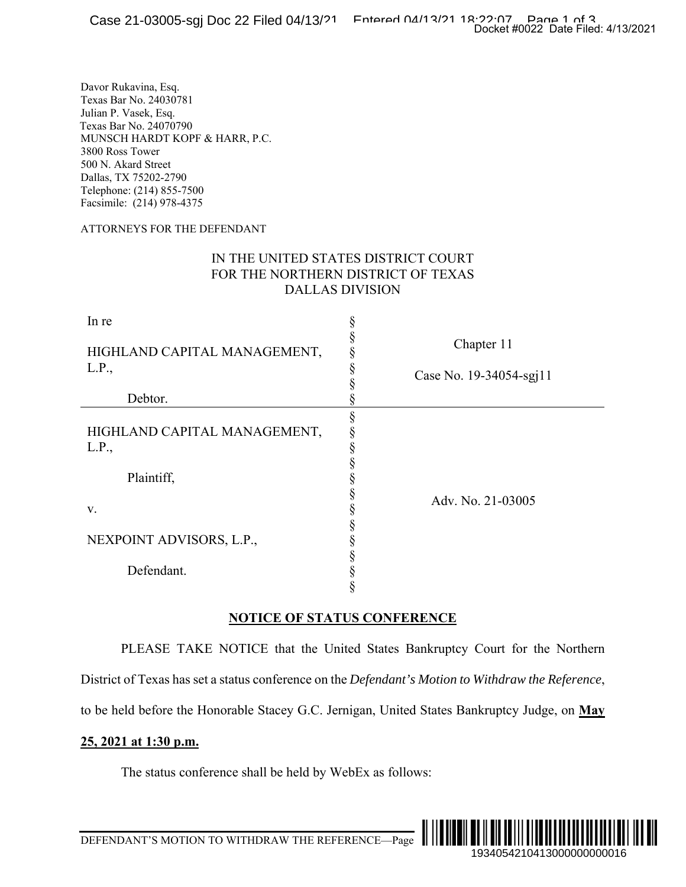### ATTORNEYS FOR THE DEFENDANT

## IN THE UNITED STATES DISTRICT COURT FOR THE NORTHERN DISTRICT OF TEXAS DALLAS DIVISION

|                                                                                                                                                                                                                                                                  | Docket #0022 Date Filed: 4/13/2021                                                                  |
|------------------------------------------------------------------------------------------------------------------------------------------------------------------------------------------------------------------------------------------------------------------|-----------------------------------------------------------------------------------------------------|
| Davor Rukavina, Esq.<br>Texas Bar No. 24030781<br>Julian P. Vasek, Esq.<br>Fexas Bar No. 24070790<br>MUNSCH HARDT KOPF & HARR, P.C.<br>3800 Ross Tower<br>500 N. Akard Street<br>Dallas, TX 75202-2790<br>Telephone: (214) 855-7500<br>Facsimile: (214) 978-4375 |                                                                                                     |
| <b>ATTORNEYS FOR THE DEFENDANT</b>                                                                                                                                                                                                                               |                                                                                                     |
|                                                                                                                                                                                                                                                                  | IN THE UNITED STATES DISTRICT COURT<br>FOR THE NORTHERN DISTRICT OF TEXAS<br><b>DALLAS DIVISION</b> |
| In re                                                                                                                                                                                                                                                            | ş                                                                                                   |
| HIGHLAND CAPITAL MANAGEMENT,                                                                                                                                                                                                                                     | Chapter 11                                                                                          |
| L.P.,                                                                                                                                                                                                                                                            | §<br>Case No. 19-34054-sgj11                                                                        |
| Debtor.                                                                                                                                                                                                                                                          |                                                                                                     |
| HIGHLAND CAPITAL MANAGEMENT,<br>L.P.,                                                                                                                                                                                                                            | §<br>§<br>§                                                                                         |
| Plaintiff,                                                                                                                                                                                                                                                       | §                                                                                                   |
| V.                                                                                                                                                                                                                                                               | §<br>Adv. No. 21-03005                                                                              |
| NEXPOINT ADVISORS, L.P.,                                                                                                                                                                                                                                         | §<br>§<br>§                                                                                         |
| Defendant.                                                                                                                                                                                                                                                       | §<br>§                                                                                              |
|                                                                                                                                                                                                                                                                  | <b>NOTICE OF STATUS CONFERENCE</b>                                                                  |
|                                                                                                                                                                                                                                                                  | PLEASE TAKE NOTICE that the United States Bankruptcy Court for the Northern                         |
|                                                                                                                                                                                                                                                                  | District of Texas has set a status conference on the Defendant's Motion to Withdraw the Reference,  |
|                                                                                                                                                                                                                                                                  | to be held before the Honorable Stacey G.C. Jernigan, United States Bankruptcy Judge, on May        |
| 25, 2021 at 1:30 p.m.                                                                                                                                                                                                                                            |                                                                                                     |
| The status conference shall be held by WebEx as follows:                                                                                                                                                                                                         |                                                                                                     |
|                                                                                                                                                                                                                                                                  |                                                                                                     |
|                                                                                                                                                                                                                                                                  |                                                                                                     |
|                                                                                                                                                                                                                                                                  | 1934054210413000000000016                                                                           |

## **NOTICE OF STATUS CONFERENCE**

## **25, 2021 at 1:30 p.m.**



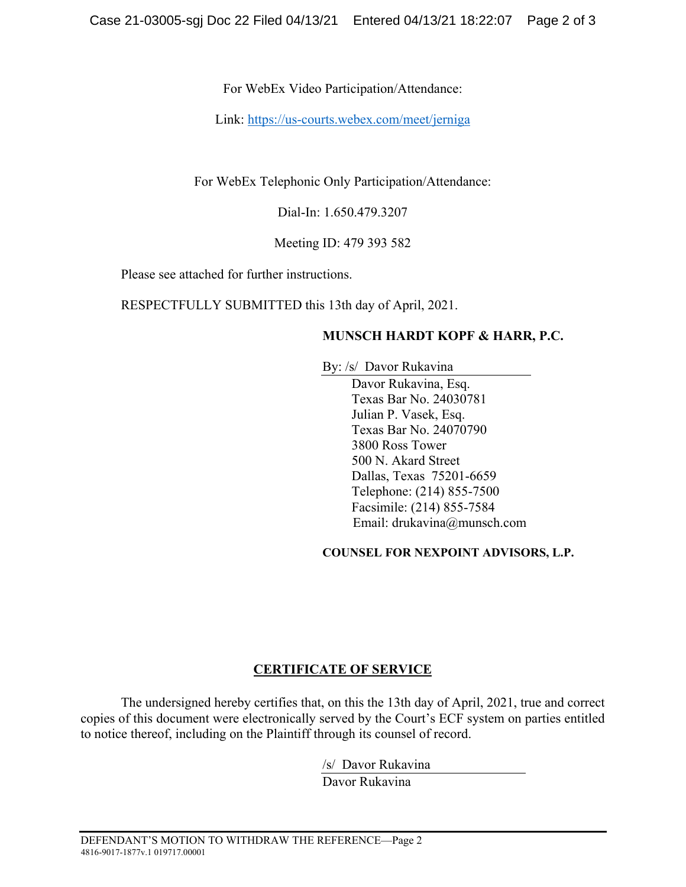For WebEx Video Participation/Attendance:

Link: https://us-courts.webex.com/meet/jerniga

For WebEx Telephonic Only Participation/Attendance:

Dial-In: 1.650.479.3207

Meeting ID: 479 393 582

Please see attached for further instructions.

RESPECTFULLY SUBMITTED this 13th day of April, 2021.

# **MUNSCH HARDT KOPF & HARR, P.C.**

By: /s/ Davor Rukavina

Davor Rukavina, Esq. Texas Bar No. 24030781 Julian P. Vasek, Esq. Texas Bar No. 24070790 3800 Ross Tower 500 N. Akard Street Dallas, Texas 75201-6659 Telephone: (214) 855-7500 Facsimile: (214) 855-7584 Email: drukavina@munsch.com

**COUNSEL FOR NEXPOINT ADVISORS, L.P.** 

# **CERTIFICATE OF SERVICE**

The undersigned hereby certifies that, on this the 13th day of April, 2021, true and correct copies of this document were electronically served by the Court's ECF system on parties entitled to notice thereof, including on the Plaintiff through its counsel of record.

/s/ Davor Rukavina

Davor Rukavina